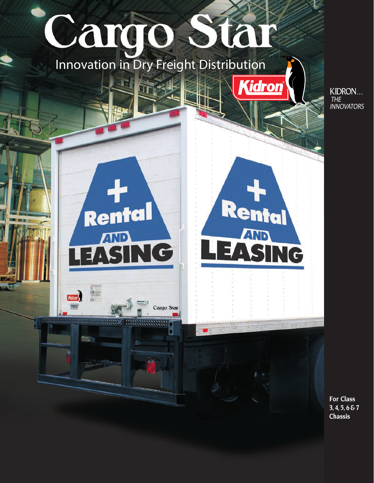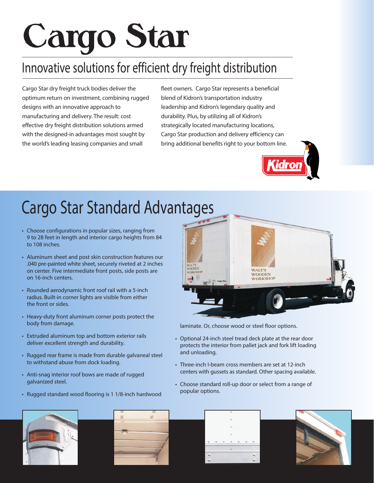# **Cargo Star**

## Innovative solutions for efficient dry freight distribution

Cargo Star dry freight truck bodies deliver the optimum return on investment, combining rugged designs with an innovative approach to manufacturing and delivery. The result: cost effective dry freight distribution solutions armed with the designed-in advantages most sought by the world's leading leasing companies and small

fleet owners. Cargo Star represents a beneficial blend of Kidron's transportation industry leadership and Kidron's legendary quality and durability. Plus, by utilizing all of Kidron's strategically located manufacturing locations, Cargo Star production and delivery efficiency can bring additional benefits right to your bottom line.



## Cargo Star Standard Advantages

- Choose configurations in popular sizes, ranging from 9 to 28 feet in length and interior cargo heights from 84 to 108 inches.
- Aluminum sheet and post skin construction features our .040 pre-painted white sheet, securely riveted at 2 inches on center. Five intermediate front posts, side posts are on 16-inch centers.
- Rounded aerodynamic front roof rail with a 5-inch radius. Built-in corner lights are visible from either the front or sides.
- Heavy-duty front aluminum corner posts protect the body from damage.
- Extruded aluminum top and bottom exterior rails deliver excellent strength and durability.
- Rugged rear frame is made from durable galvaneal steel to withstand abuse from dock loading.
- Anti-snag interior roof bows are made of rugged galvanized steel.
- Rugged standard wood flooring is 1 1/8-inch hardwood



laminate. Or, choose wood or steel floor options.

- Optional 24-inch steel tread deck plate at the rear door protects the interior from pallet jack and fork lift loading and unloading.
- Three-inch I-beam cross members are set at 12-inch centers with gussets as standard. Other spacing available.
- Choose standard roll-up door or select from a range of popular options.







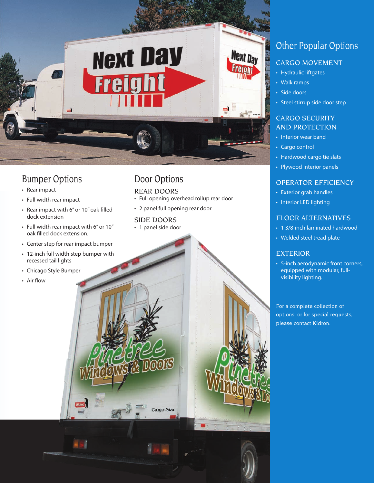

## Bumper Options

- Rear impact
- Full width rear impact
- Rear impact with 6" or 10" oak filled dock extension
- Full width rear impact with 6" or 10" oak filled dock extension.
- Center step for rear impact bumper
- 12-inch full width step bumper with recessed tail lights

60

Kidron

- Chicago Style Bumper
- Air flow

## Door Options

#### REAR DOORS

- Full opening overhead rollup rear door
- 2 panel full opening rear door

## SIDE DOORS

• 1 panel side door

Cargo Star

## Other Popular Options

## CARGO MOVEMENT

- Hydraulic liftgates
- Walk ramps
- Side doors
- Steel stirrup side door step

#### CARGO SECURITY AND PROTECTION

- Interior wear band
- Cargo control
- Hardwood cargo tie slats
- Plywood interior panels

## OPERATOR EFFICIENCY

- Exterior grab handles
- Interior LED lighting

#### FLOOR ALTERNATIVES

- 1 3/8-inch laminated hardwood
- Welded steel tread plate

## EXTERIOR

• 5-inch aerodynamic front corners, equipped with modular, fullvisibility lighting.

For a complete collection of options, or for special requests, please contact Kidron.